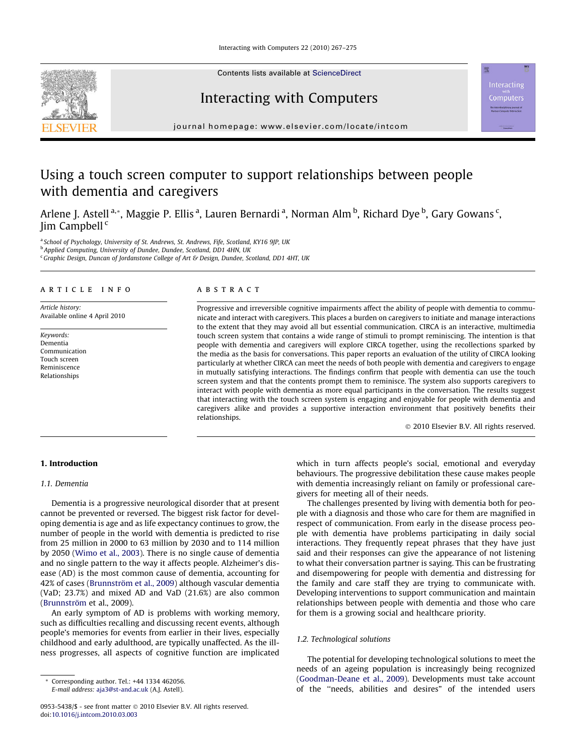

Contents lists available at [ScienceDirect](http://www.sciencedirect.com/science/journal/09535438)

# Interacting with Computers

journal homepage: [www.elsevier.com/locate/intcom](http://www.elsevier.com/locate/intcom)

# Using a touch screen computer to support relationships between people with dementia and caregivers

Arlene J. Astell <sup>a,</sup>\*, Maggie P. Ellis <sup>a</sup>, Lauren Bernardi <sup>a</sup>, Norman Alm <sup>b</sup>, Richard Dye <sup>b</sup>, Gary Gowans <sup>c</sup>, Jim Campbell <sup>c</sup>

<sup>a</sup> School of Psychology, University of St. Andrews, St. Andrews, Fife, Scotland, KY16 9JP, UK <sup>b</sup> Applied Computing, University of Dundee, Dundee, Scotland, DD1 4HN, UK <sup>c</sup> Graphic Design, Duncan of Jordanstone College of Art & Design, Dundee, Scotland, DD1 4HT, UK

#### article info

Article history: Available online 4 April 2010

Keywords: Dementia Communication Touch screen Reminiscence Relationships

# ABSTRACT

Progressive and irreversible cognitive impairments affect the ability of people with dementia to communicate and interact with caregivers. This places a burden on caregivers to initiate and manage interactions to the extent that they may avoid all but essential communication. CIRCA is an interactive, multimedia touch screen system that contains a wide range of stimuli to prompt reminiscing. The intention is that people with dementia and caregivers will explore CIRCA together, using the recollections sparked by the media as the basis for conversations. This paper reports an evaluation of the utility of CIRCA looking particularly at whether CIRCA can meet the needs of both people with dementia and caregivers to engage in mutually satisfying interactions. The findings confirm that people with dementia can use the touch screen system and that the contents prompt them to reminisce. The system also supports caregivers to interact with people with dementia as more equal participants in the conversation. The results suggest that interacting with the touch screen system is engaging and enjoyable for people with dementia and caregivers alike and provides a supportive interaction environment that positively benefits their relationships.

- 2010 Elsevier B.V. All rights reserved.

**Interacting** Computers

### 1. Introduction

#### 1.1. Dementia

Dementia is a progressive neurological disorder that at present cannot be prevented or reversed. The biggest risk factor for developing dementia is age and as life expectancy continues to grow, the number of people in the world with dementia is predicted to rise from 25 million in 2000 to 63 million by 2030 and to 114 million by 2050 [\(Wimo et al., 2003\)](#page-8-0). There is no single cause of dementia and no single pattern to the way it affects people. Alzheimer's disease (AD) is the most common cause of dementia, accounting for 42% of cases [\(Brunnström et al., 2009](#page-8-0)) although vascular dementia (VaD; 23.7%) and mixed AD and VaD (21.6%) are also common ([Brunnström](#page-8-0) et al., 2009).

An early symptom of AD is problems with working memory, such as difficulties recalling and discussing recent events, although people's memories for events from earlier in their lives, especially childhood and early adulthood, are typically unaffected. As the illness progresses, all aspects of cognitive function are implicated

\* Corresponding author. Tel.: +44 1334 462056.

which in turn affects people's social, emotional and everyday behaviours. The progressive debilitation these cause makes people with dementia increasingly reliant on family or professional caregivers for meeting all of their needs.

The challenges presented by living with dementia both for people with a diagnosis and those who care for them are magnified in respect of communication. From early in the disease process people with dementia have problems participating in daily social interactions. They frequently repeat phrases that they have just said and their responses can give the appearance of not listening to what their conversation partner is saying. This can be frustrating and disempowering for people with dementia and distressing for the family and care staff they are trying to communicate with. Developing interventions to support communication and maintain relationships between people with dementia and those who care for them is a growing social and healthcare priority.

#### 1.2. Technological solutions

The potential for developing technological solutions to meet the needs of an ageing population is increasingly being recognized ([Goodman-Deane et al., 2009\)](#page-8-0). Developments must take account of the ''needs, abilities and desires" of the intended users

E-mail address: [aja3@st-and.ac.uk](mailto:aja3@st-and.ac.uk) (A.J. Astell).

<sup>0953-5438/\$ -</sup> see front matter © 2010 Elsevier B.V. All rights reserved. doi[:10.1016/j.intcom.2010.03.003](http://dx.doi.org/10.1016/j.intcom.2010.03.003)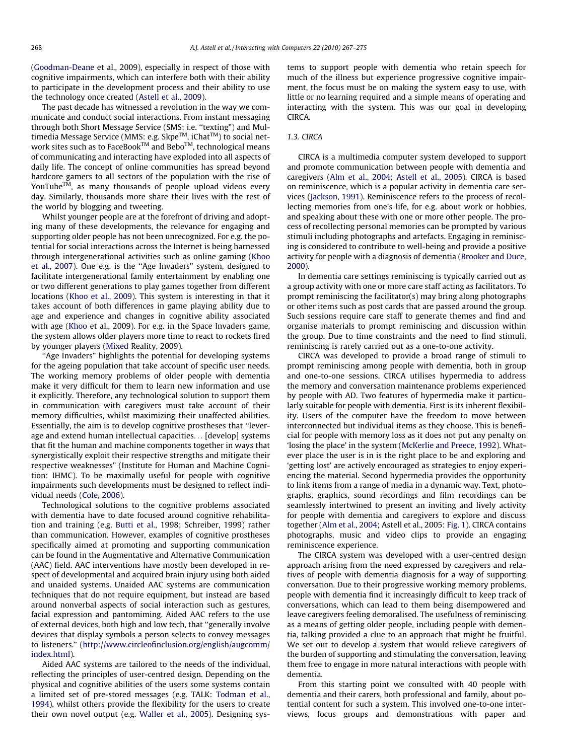([Goodman-Deane](#page-8-0) et al., 2009), especially in respect of those with cognitive impairments, which can interfere both with their ability to participate in the development process and their ability to use the technology once created ([Astell et al., 2009\)](#page-8-0).

The past decade has witnessed a revolution in the way we communicate and conduct social interactions. From instant messaging through both Short Message Service (SMS; i.e. ''texting") and Multimedia Message Service (MMS: e.g. Skpe<sup>TM</sup>, iChat<sup>TM</sup>) to social network sites such as to FaceBook™ and Bebo™, technological means of communicating and interacting have exploded into all aspects of daily life. The concept of online communities has spread beyond hardcore gamers to all sectors of the population with the rise of YouTube $TM$ , as many thousands of people upload videos every day. Similarly, thousands more share their lives with the rest of the world by blogging and tweeting.

Whilst younger people are at the forefront of driving and adopting many of these developments, the relevance for engaging and supporting older people has not been unrecognized. For e.g. the potential for social interactions across the Internet is being harnessed through intergenerational activities such as online gaming [\(Khoo](#page-8-0) [et al., 2007\)](#page-8-0). One e.g. is the ''Age Invaders" system, designed to facilitate intergenerational family entertainment by enabling one or two different generations to play games together from different locations ([Khoo et al., 2009\)](#page-8-0). This system is interesting in that it takes account of both differences in game playing ability due to age and experience and changes in cognitive ability associated with age [\(Khoo](#page-8-0) et al., 2009). For e.g. in the Space Invaders game, the system allows older players more time to react to rockets fired by younger players [\(Mixed](#page-8-0) Reality, 2009).

''Age Invaders" highlights the potential for developing systems for the ageing population that take account of specific user needs. The working memory problems of older people with dementia make it very difficult for them to learn new information and use it explicitly. Therefore, any technological solution to support them in communication with caregivers must take account of their memory difficulties, whilst maximizing their unaffected abilities. Essentially, the aim is to develop cognitive prostheses that ''leverage and extend human intellectual capacities... [develop] systems that fit the human and machine components together in ways that synergistically exploit their respective strengths and mitigate their respective weaknesses" (Institute for Human and Machine Cognition: IHMC). To be maximally useful for people with cognitive impairments such developments must be designed to reflect individual needs [\(Cole, 2006](#page-8-0)).

Technological solutions to the cognitive problems associated with dementia have to date focused around cognitive rehabilitation and training (e.g. [Butti et al.,](#page-8-0) 1998; Schreiber, 1999) rather than communication. However, examples of cognitive prostheses specifically aimed at promoting and supporting communication can be found in the Augmentative and Alternative Communication (AAC) field. AAC interventions have mostly been developed in respect of developmental and acquired brain injury using both aided and unaided systems. Unaided AAC systems are communication techniques that do not require equipment, but instead are based around nonverbal aspects of social interaction such as gestures, facial expression and pantomiming. Aided AAC refers to the use of external devices, both high and low tech, that ''generally involve devices that display symbols a person selects to convey messages to listeners." ([http://www.circleofinclusion.org/english/augcomm/](http://www.circleofinclusion.org/english/augcomm/index.html) [index.html\)](http://www.circleofinclusion.org/english/augcomm/index.html).

Aided AAC systems are tailored to the needs of the individual, reflecting the principles of user-centred design. Depending on the physical and cognitive abilities of the users some systems contain a limited set of pre-stored messages (e.g. TALK: [Todman et al.,](#page-8-0) [1994\)](#page-8-0), whilst others provide the flexibility for the users to create their own novel output (e.g. [Waller et al., 2005](#page-8-0)). Designing systems to support people with dementia who retain speech for much of the illness but experience progressive cognitive impairment, the focus must be on making the system easy to use, with little or no learning required and a simple means of operating and interacting with the system. This was our goal in developing CIRCA.

### 1.3. CIRCA

CIRCA is a multimedia computer system developed to support and promote communication between people with dementia and caregivers ([Alm et al., 2004; Astell et al., 2005\)](#page-7-0). CIRCA is based on reminiscence, which is a popular activity in dementia care services [\(Jackson, 1991](#page-8-0)). Reminiscence refers to the process of recollecting memories from one's life, for e.g. about work or hobbies, and speaking about these with one or more other people. The process of recollecting personal memories can be prompted by various stimuli including photographs and artefacts. Engaging in reminiscing is considered to contribute to well-being and provide a positive activity for people with a diagnosis of dementia [\(Brooker and Duce,](#page-8-0) [2000](#page-8-0)).

In dementia care settings reminiscing is typically carried out as a group activity with one or more care staff acting as facilitators. To prompt reminiscing the facilitator(s) may bring along photographs or other items such as post cards that are passed around the group. Such sessions require care staff to generate themes and find and organise materials to prompt reminiscing and discussion within the group. Due to time constraints and the need to find stimuli, reminiscing is rarely carried out as a one-to-one activity.

CIRCA was developed to provide a broad range of stimuli to prompt reminiscing among people with dementia, both in group and one-to-one sessions. CIRCA utilises hypermedia to address the memory and conversation maintenance problems experienced by people with AD. Two features of hypermedia make it particularly suitable for people with dementia. First is its inherent flexibility. Users of the computer have the freedom to move between interconnected but individual items as they choose. This is beneficial for people with memory loss as it does not put any penalty on 'losing the place' in the system [\(McKerlie and Preece, 1992\)](#page-8-0). Whatever place the user is in is the right place to be and exploring and 'getting lost' are actively encouraged as strategies to enjoy experiencing the material. Second hypermedia provides the opportunity to link items from a range of media in a dynamic way. Text, photographs, graphics, sound recordings and film recordings can be seamlessly intertwined to present an inviting and lively activity for people with dementia and caregivers to explore and discuss together ([Alm et al., 2004](#page-7-0); Astell et al., 2005: [Fig. 1](#page-2-0)). CIRCA contains photographs, music and video clips to provide an engaging reminiscence experience.

The CIRCA system was developed with a user-centred design approach arising from the need expressed by caregivers and relatives of people with dementia diagnosis for a way of supporting conversation. Due to their progressive working memory problems, people with dementia find it increasingly difficult to keep track of conversations, which can lead to them being disempowered and leave caregivers feeling demoralised. The usefulness of reminiscing as a means of getting older people, including people with dementia, talking provided a clue to an approach that might be fruitful. We set out to develop a system that would relieve caregivers of the burden of supporting and stimulating the conversation, leaving them free to engage in more natural interactions with people with dementia.

From this starting point we consulted with 40 people with dementia and their carers, both professional and family, about potential content for such a system. This involved one-to-one interviews, focus groups and demonstrations with paper and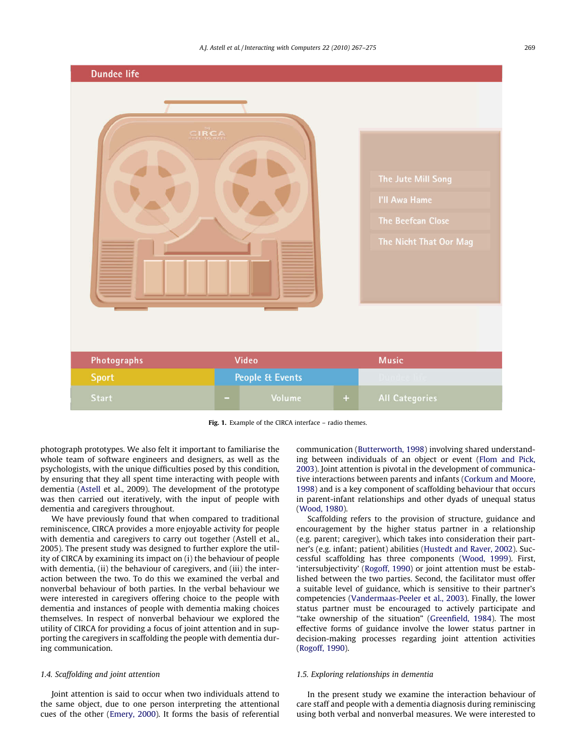<span id="page-2-0"></span>

Fig. 1. Example of the CIRCA interface - radio themes.

photograph prototypes. We also felt it important to familiarise the whole team of software engineers and designers, as well as the psychologists, with the unique difficulties posed by this condition, by ensuring that they all spent time interacting with people with dementia [\(Astell](#page-8-0) et al., 2009). The development of the prototype was then carried out iteratively, with the input of people with dementia and caregivers throughout.

We have previously found that when compared to traditional reminiscence, CIRCA provides a more enjoyable activity for people with dementia and caregivers to carry out together (Astell et al., 2005). The present study was designed to further explore the utility of CIRCA by examining its impact on (i) the behaviour of people with dementia, (ii) the behaviour of caregivers, and (iii) the interaction between the two. To do this we examined the verbal and nonverbal behaviour of both parties. In the verbal behaviour we were interested in caregivers offering choice to the people with dementia and instances of people with dementia making choices themselves. In respect of nonverbal behaviour we explored the utility of CIRCA for providing a focus of joint attention and in supporting the caregivers in scaffolding the people with dementia during communication.

# 1.4. Scaffolding and joint attention

Joint attention is said to occur when two individuals attend to the same object, due to one person interpreting the attentional cues of the other [\(Emery, 2000\)](#page-8-0). It forms the basis of referential

communication [\(Butterworth, 1998\)](#page-8-0) involving shared understanding between individuals of an object or event ([Flom and Pick,](#page-8-0) [2003](#page-8-0)). Joint attention is pivotal in the development of communicative interactions between parents and infants ([Corkum and Moore,](#page-8-0) [1998\)](#page-8-0) and is a key component of scaffolding behaviour that occurs in parent-infant relationships and other dyads of unequal status ([Wood, 1980\)](#page-8-0).

Scaffolding refers to the provision of structure, guidance and encouragement by the higher status partner in a relationship (e.g. parent; caregiver), which takes into consideration their partner's (e.g. infant; patient) abilities [\(Hustedt and Raver, 2002\)](#page-8-0). Successful scaffolding has three components ([Wood, 1999\)](#page-8-0). First, 'intersubjectivity' [\(Rogoff, 1990\)](#page-8-0) or joint attention must be established between the two parties. Second, the facilitator must offer a suitable level of guidance, which is sensitive to their partner's competencies [\(Vandermaas-Peeler et al., 2003\)](#page-8-0). Finally, the lower status partner must be encouraged to actively participate and "take ownership of the situation" [\(Greenfield, 1984\)](#page-8-0). The most effective forms of guidance involve the lower status partner in decision-making processes regarding joint attention activities ([Rogoff, 1990](#page-8-0)).

## 1.5. Exploring relationships in dementia

In the present study we examine the interaction behaviour of care staff and people with a dementia diagnosis during reminiscing using both verbal and nonverbal measures. We were interested to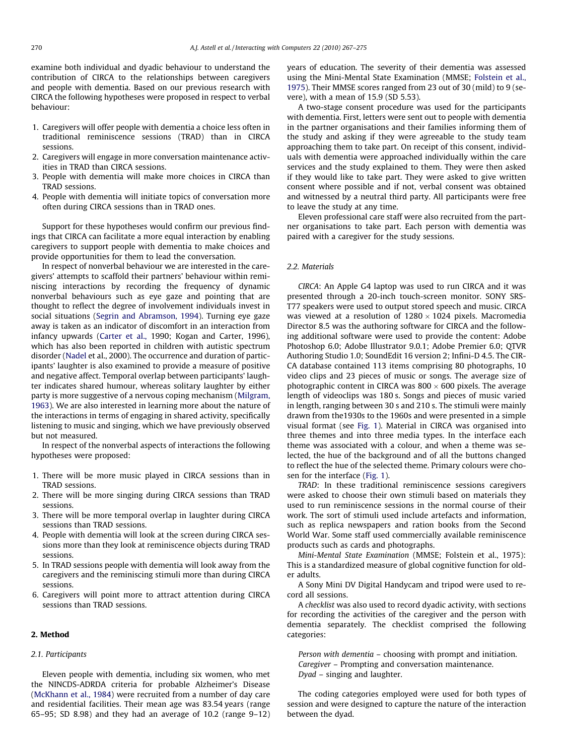examine both individual and dyadic behaviour to understand the contribution of CIRCA to the relationships between caregivers and people with dementia. Based on our previous research with CIRCA the following hypotheses were proposed in respect to verbal behaviour:

- 1. Caregivers will offer people with dementia a choice less often in traditional reminiscence sessions (TRAD) than in CIRCA sessions.
- 2. Caregivers will engage in more conversation maintenance activities in TRAD than CIRCA sessions.
- 3. People with dementia will make more choices in CIRCA than TRAD sessions.
- 4. People with dementia will initiate topics of conversation more often during CIRCA sessions than in TRAD ones.

Support for these hypotheses would confirm our previous findings that CIRCA can facilitate a more equal interaction by enabling caregivers to support people with dementia to make choices and provide opportunities for them to lead the conversation.

In respect of nonverbal behaviour we are interested in the caregivers' attempts to scaffold their partners' behaviour within reminiscing interactions by recording the frequency of dynamic nonverbal behaviours such as eye gaze and pointing that are thought to reflect the degree of involvement individuals invest in social situations [\(Segrin and Abramson, 1994\)](#page-8-0). Turning eye gaze away is taken as an indicator of discomfort in an interaction from infancy upwards ([Carter et al.,](#page-8-0) 1990; Kogan and Carter, 1996), which has also been reported in children with autistic spectrum disorder ([Nadel](#page-8-0) et al., 2000). The occurrence and duration of participants' laughter is also examined to provide a measure of positive and negative affect. Temporal overlap between participants' laughter indicates shared humour, whereas solitary laughter by either party is more suggestive of a nervous coping mechanism ([Milgram,](#page-8-0) [1963\)](#page-8-0). We are also interested in learning more about the nature of the interactions in terms of engaging in shared activity, specifically listening to music and singing, which we have previously observed but not measured.

In respect of the nonverbal aspects of interactions the following hypotheses were proposed:

- 1. There will be more music played in CIRCA sessions than in TRAD sessions.
- 2. There will be more singing during CIRCA sessions than TRAD sessions.
- 3. There will be more temporal overlap in laughter during CIRCA sessions than TRAD sessions.
- 4. People with dementia will look at the screen during CIRCA sessions more than they look at reminiscence objects during TRAD sessions.
- 5. In TRAD sessions people with dementia will look away from the caregivers and the reminiscing stimuli more than during CIRCA sessions.
- 6. Caregivers will point more to attract attention during CIRCA sessions than TRAD sessions.

#### 2. Method

#### 2.1. Participants

Eleven people with dementia, including six women, who met the NINCDS-ADRDA criteria for probable Alzheimer's Disease ([McKhann et al., 1984\)](#page-8-0) were recruited from a number of day care and residential facilities. Their mean age was 83.54 years (range 65–95; SD 8.98) and they had an average of 10.2 (range 9–12) years of education. The severity of their dementia was assessed using the Mini-Mental State Examination (MMSE; [Folstein et al.,](#page-8-0) [1975\)](#page-8-0). Their MMSE scores ranged from 23 out of 30 (mild) to 9 (severe), with a mean of 15.9 (SD 5.53).

A two-stage consent procedure was used for the participants with dementia. First, letters were sent out to people with dementia in the partner organisations and their families informing them of the study and asking if they were agreeable to the study team approaching them to take part. On receipt of this consent, individuals with dementia were approached individually within the care services and the study explained to them. They were then asked if they would like to take part. They were asked to give written consent where possible and if not, verbal consent was obtained and witnessed by a neutral third party. All participants were free to leave the study at any time.

Eleven professional care staff were also recruited from the partner organisations to take part. Each person with dementia was paired with a caregiver for the study sessions.

#### 2.2. Materials

CIRCA: An Apple G4 laptop was used to run CIRCA and it was presented through a 20-inch touch-screen monitor. SONY SRS-T77 speakers were used to output stored speech and music. CIRCA was viewed at a resolution of  $1280 \times 1024$  pixels. Macromedia Director 8.5 was the authoring software for CIRCA and the following additional software were used to provide the content: Adobe Photoshop 6.0; Adobe Illustrator 9.0.1; Adobe Premier 6.0; QTVR Authoring Studio 1.0; SoundEdit 16 version 2; Infini-D 4.5. The CIR-CA database contained 113 items comprising 80 photographs, 10 video clips and 23 pieces of music or songs. The average size of photographic content in CIRCA was  $800 \times 600$  pixels. The average length of videoclips was 180 s. Songs and pieces of music varied in length, ranging between 30 s and 210 s. The stimuli were mainly drawn from the1930s to the 1960s and were presented in a simple visual format (see [Fig. 1](#page-2-0)). Material in CIRCA was organised into three themes and into three media types. In the interface each theme was associated with a colour, and when a theme was selected, the hue of the background and of all the buttons changed to reflect the hue of the selected theme. Primary colours were chosen for the interface [\(Fig. 1\)](#page-2-0).

TRAD: In these traditional reminiscence sessions caregivers were asked to choose their own stimuli based on materials they used to run reminiscence sessions in the normal course of their work. The sort of stimuli used include artefacts and information, such as replica newspapers and ration books from the Second World War. Some staff used commercially available reminiscence products such as cards and photographs.

Mini-Mental State Examination (MMSE; Folstein et al., 1975): This is a standardized measure of global cognitive function for older adults.

A Sony Mini DV Digital Handycam and tripod were used to record all sessions.

A checklist was also used to record dyadic activity, with sections for recording the activities of the caregiver and the person with dementia separately. The checklist comprised the following categories:

Person with dementia – choosing with prompt and initiation. Caregiver – Prompting and conversation maintenance. Dyad – singing and laughter.

The coding categories employed were used for both types of session and were designed to capture the nature of the interaction between the dyad.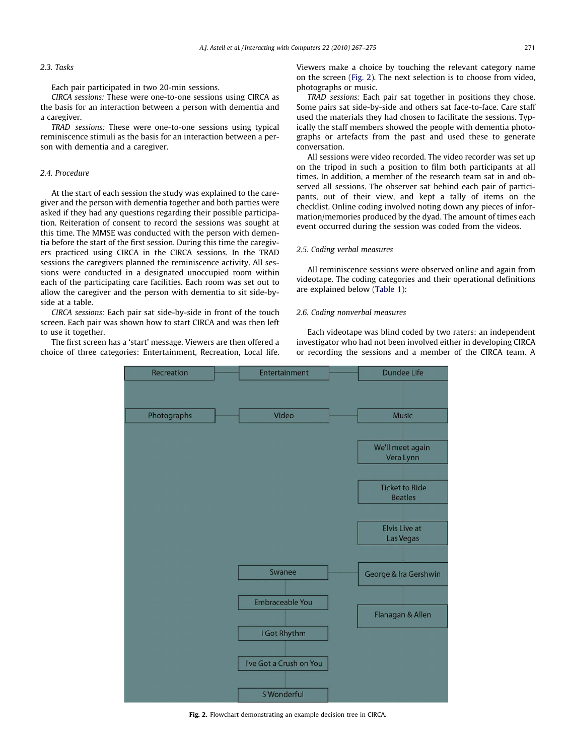#### 2.3. Tasks

Each pair participated in two 20-min sessions.

CIRCA sessions: These were one-to-one sessions using CIRCA as the basis for an interaction between a person with dementia and a caregiver.

TRAD sessions: These were one-to-one sessions using typical reminiscence stimuli as the basis for an interaction between a person with dementia and a caregiver.

#### 2.4. Procedure

At the start of each session the study was explained to the caregiver and the person with dementia together and both parties were asked if they had any questions regarding their possible participation. Reiteration of consent to record the sessions was sought at this time. The MMSE was conducted with the person with dementia before the start of the first session. During this time the caregivers practiced using CIRCA in the CIRCA sessions. In the TRAD sessions the caregivers planned the reminiscence activity. All sessions were conducted in a designated unoccupied room within each of the participating care facilities. Each room was set out to allow the caregiver and the person with dementia to sit side-byside at a table.

CIRCA sessions: Each pair sat side-by-side in front of the touch screen. Each pair was shown how to start CIRCA and was then left to use it together.

The first screen has a 'start' message. Viewers are then offered a choice of three categories: Entertainment, Recreation, Local life. Viewers make a choice by touching the relevant category name on the screen (Fig. 2). The next selection is to choose from video, photographs or music.

TRAD sessions: Each pair sat together in positions they chose. Some pairs sat side-by-side and others sat face-to-face. Care staff used the materials they had chosen to facilitate the sessions. Typically the staff members showed the people with dementia photographs or artefacts from the past and used these to generate conversation.

All sessions were video recorded. The video recorder was set up on the tripod in such a position to film both participants at all times. In addition, a member of the research team sat in and observed all sessions. The observer sat behind each pair of participants, out of their view, and kept a tally of items on the checklist. Online coding involved noting down any pieces of information/memories produced by the dyad. The amount of times each event occurred during the session was coded from the videos.

#### 2.5. Coding verbal measures

All reminiscence sessions were observed online and again from videotape. The coding categories and their operational definitions are explained below [\(Table 1](#page-5-0)):

#### 2.6. Coding nonverbal measures

Each videotape was blind coded by two raters: an independent investigator who had not been involved either in developing CIRCA or recording the sessions and a member of the CIRCA team. A



Fig. 2. Flowchart demonstrating an example decision tree in CIRCA.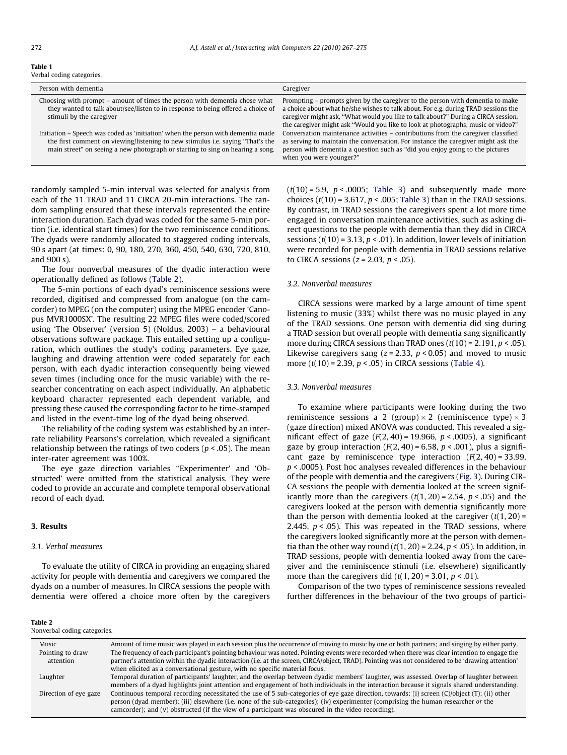#### <span id="page-5-0"></span>Table 1

Verbal coding categories.

| Person with dementia                                                                                                                                                                                                                                        | Caregiver                                                                                                                                                                                                                                                                                                                                     |
|-------------------------------------------------------------------------------------------------------------------------------------------------------------------------------------------------------------------------------------------------------------|-----------------------------------------------------------------------------------------------------------------------------------------------------------------------------------------------------------------------------------------------------------------------------------------------------------------------------------------------|
| Choosing with prompt – amount of times the person with dementia chose what<br>they wanted to talk about/see/listen to in response to being offered a choice of<br>stimuli by the caregiver                                                                  | Prompting – prompts given by the caregiver to the person with dementia to make<br>a choice about what he/she wishes to talk about. For e.g. during TRAD sessions the<br>caregiver might ask, "What would you like to talk about?" During a CIRCA session,<br>the caregiver might ask "Would you like to look at photographs, music or video?" |
| Initiation – Speech was coded as 'initiation' when the person with dementia made<br>the first comment on viewing/listening to new stimulus <i>i.e.</i> saying "That's the<br>main street" on seeing a new photograph or starting to sing on hearing a song. | Conversation maintenance activities – contributions from the caregiver classified<br>as serving to maintain the conversation. For instance the caregiver might ask the<br>person with dementia a question such as "did you enjoy going to the pictures"<br>when you were younger?"                                                            |

randomly sampled 5-min interval was selected for analysis from each of the 11 TRAD and 11 CIRCA 20-min interactions. The random sampling ensured that these intervals represented the entire interaction duration. Each dyad was coded for the same 5-min portion (i.e. identical start times) for the two reminiscence conditions. The dyads were randomly allocated to staggered coding intervals, 90 s apart (at times: 0, 90, 180, 270, 360, 450, 540, 630, 720, 810, and 900 s).

The four nonverbal measures of the dyadic interaction were operationally defined as follows (Table 2).

The 5-min portions of each dyad's reminiscence sessions were recorded, digitised and compressed from analogue (on the camcorder) to MPEG (on the computer) using the MPEG encoder 'Canopus MVR1000SX'. The resulting 22 MPEG files were coded/scored using 'The Observer' (version 5) (Noldus, 2003) – a behavioural observations software package. This entailed setting up a configuration, which outlines the study's coding parameters. Eye gaze, laughing and drawing attention were coded separately for each person, with each dyadic interaction consequently being viewed seven times (including once for the music variable) with the researcher concentrating on each aspect individually. An alphabetic keyboard character represented each dependent variable, and pressing these caused the corresponding factor to be time-stamped and listed in the event-time log of the dyad being observed.

The reliability of the coding system was established by an interrate reliability Pearsons's correlation, which revealed a significant relationship between the ratings of two coders ( $p < .05$ ). The mean inter-rater agreement was 100%.

The eye gaze direction variables ''Experimenter' and 'Obstructed' were omitted from the statistical analysis. They were coded to provide an accurate and complete temporal observational record of each dyad.

#### 3. Results

Table 2

#### 3.1. Verbal measures

To evaluate the utility of CIRCA in providing an engaging shared activity for people with dementia and caregivers we compared the dyads on a number of measures. In CIRCA sessions the people with dementia were offered a choice more often by the caregivers

# $(t(10) = 5.9, p < .0005;$  [Table 3](#page-6-0)) and subsequently made more choices ( $t(10)$  = 3.617,  $p < .005$ ; [Table 3](#page-6-0)) than in the TRAD sessions. By contrast, in TRAD sessions the caregivers spent a lot more time engaged in conversation maintenance activities, such as asking direct questions to the people with dementia than they did in CIRCA sessions ( $t(10)$  = 3.13,  $p < .01$ ). In addition, lower levels of initiation were recorded for people with dementia in TRAD sessions relative to CIRCA sessions ( $z = 2.03$ ,  $p < .05$ ).

#### 3.2. Nonverbal measures

CIRCA sessions were marked by a large amount of time spent listening to music (33%) whilst there was no music played in any of the TRAD sessions. One person with dementia did sing during a TRAD session but overall people with dementia sang significantly more during CIRCA sessions than TRAD ones  $(t(10) = 2.191, p < .05)$ . Likewise caregivers sang ( $z = 2.33$ ,  $p < 0.05$ ) and moved to music more  $(t(10) = 2.39, p < .05)$  in CIRCA sessions ([Table 4\)](#page-6-0).

#### 3.3. Nonverbal measures

To examine where participants were looking during the two reminiscence sessions a 2 (group)  $\times$  2 (reminiscence type)  $\times$  3 (gaze direction) mixed ANOVA was conducted. This revealed a significant effect of gaze  $(F(2, 40) = 19.966, p < .0005)$ , a significant gaze by group interaction  $(F(2, 40) = 6.58, p < .001)$ , plus a significant gaze by reminiscence type interaction  $(F(2, 40) = 33.99,$ p < .0005). Post hoc analyses revealed differences in the behaviour of the people with dementia and the caregivers ([Fig. 3](#page-6-0)). During CIR-CA sessions the people with dementia looked at the screen significantly more than the caregivers  $(t(1, 20) = 2.54, p < .05)$  and the caregivers looked at the person with dementia significantly more than the person with dementia looked at the caregiver  $(t(1, 20) =$ 2.445,  $p < .05$ ). This was repeated in the TRAD sessions, where the caregivers looked significantly more at the person with dementia than the other way round  $(t(1, 20) = 2.24, p < .05)$ . In addition, in TRAD sessions, people with dementia looked away from the caregiver and the reminiscence stimuli (i.e. elsewhere) significantly more than the caregivers did  $(t(1, 20) = 3.01, p < .01)$ .

Comparison of the two types of reminiscence sessions revealed further differences in the behaviour of the two groups of partici-

| Nonverbal coding categories. |                                                                                                                                                   |  |  |  |
|------------------------------|---------------------------------------------------------------------------------------------------------------------------------------------------|--|--|--|
| Music                        | Amount of time music was played in each session plus the occurrence of moving to music by one or both partners; and singing by either party.      |  |  |  |
| Pointing to draw             | The frequency of each participant's pointing behaviour was noted. Pointing events were recorded when there was clear intention to engage the      |  |  |  |
| attention                    | partner's attention within the dyadic interaction (i.e. at the screen, CIRCA/object, TRAD). Pointing was not considered to be 'drawing attention' |  |  |  |
|                              | when elicited as a conversational gesture, with no specific material focus.                                                                       |  |  |  |
| Laughter                     | Temporal duration of participants' laughter, and the overlap between dyadic members' laughter, was assessed. Overlap of laughter between          |  |  |  |
|                              | members of a dyad highlights joint attention and engagement of both individuals in the interaction because it signals shared understanding.       |  |  |  |
| Direction of eye gaze        | Continuous temporal recording necessitated the use of 5 sub-categories of eye gaze direction, towards: (i) screen (C)/object (T); (ii) other      |  |  |  |
|                              | person (dyad member); (iii) elsewhere (i.e. none of the sub-categories); (iv) experimenter (comprising the human researcher or the                |  |  |  |
|                              | camcorder); and (v) obstructed (if the view of a participant was obscured in the video recording).                                                |  |  |  |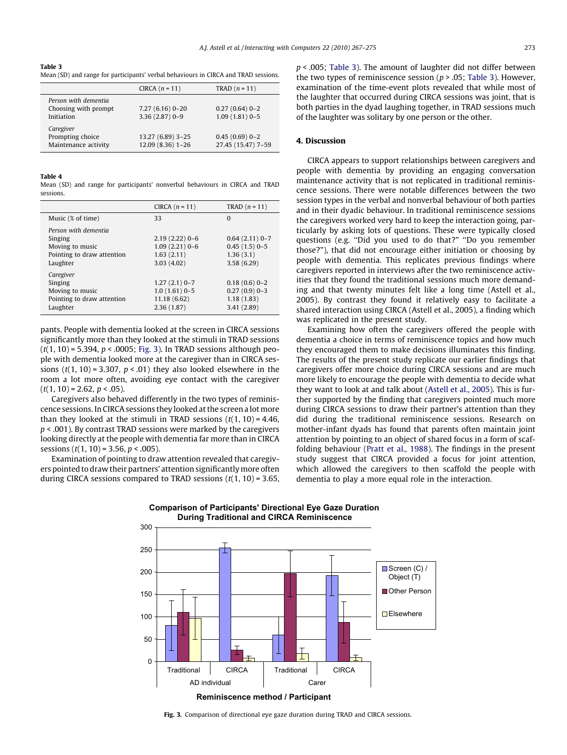<span id="page-6-0"></span>Table 3 Mean (SD) and range for participants' verbal behaviours in CIRCA and TRAD sessions.

|                                                            | CIRCA $(n = 11)$                       | $TRAD(n = 11)$                        |
|------------------------------------------------------------|----------------------------------------|---------------------------------------|
| Person with dementia<br>Choosing with prompt<br>Initiation | $7.27(6.16)0-20$<br>$3.36(2.87)0 - 9$  | $0.27(0.64)0-2$<br>$1.09(1.81)0-5$    |
| Caregiver<br>Prompting choice<br>Maintenance activity      | 13.27 (6.89) 3-25<br>12.09 (8.36) 1-26 | $0.45(0.69)0-2$<br>27.45 (15.47) 7-59 |

#### Table 4

Mean (SD) and range for participants' nonverbal behaviours in CIRCA and TRAD sessions.

|                                                                                              | CIRCA $(n = 11)$                                                | TRAD $(n = 11)$                                              |
|----------------------------------------------------------------------------------------------|-----------------------------------------------------------------|--------------------------------------------------------------|
| Music (% of time)                                                                            | 33                                                              | $\Omega$                                                     |
| Person with dementia<br>Singing<br>Moving to music<br>Pointing to draw attention<br>Laughter | $2.19(2.22)0-6$<br>$1.09(2.21)0-6$<br>1.63(2.11)<br>3.03(4.02)  | $0.64(2.11)0-7$<br>$0.45(1.5)0-5$<br>1.36(3.1)<br>3.58(6.29) |
| Caregiver<br>Singing<br>Moving to music<br>Pointing to draw attention<br>Laughter            | $1.27(2.1)$ 0-7<br>$1.0(1.61)$ 0-5<br>11.18(6.62)<br>2.36(1.87) | $0.18(0.6)0-2$<br>$0.27(0.9)0-3$<br>1.18(1.83)<br>3.41(2.89) |

pants. People with dementia looked at the screen in CIRCA sessions significantly more than they looked at the stimuli in TRAD sessions  $(t(1, 10) = 5.394, p < .0005$ ; Fig. 3). In TRAD sessions although people with dementia looked more at the caregiver than in CIRCA sessions  $(t(1, 10) = 3.307, p < .01)$  they also looked elsewhere in the room a lot more often, avoiding eye contact with the caregiver  $(t(1, 10) = 2.62, p < .05)$ .

Caregivers also behaved differently in the two types of reminiscence sessions. In CIRCA sessions they looked at the screen a lotmore than they looked at the stimuli in TRAD sessions  $(t(1, 10) = 4.46$ ,  $p < .001$ ). By contrast TRAD sessions were marked by the caregivers looking directly at the people with dementia far more than in CIRCA sessions ( $t(1, 10) = 3.56$ ,  $p < .005$ ).

Examination of pointing to draw attention revealed that caregivers pointed to draw their partners' attention significantlymore often during CIRCA sessions compared to TRAD sessions  $(t(1, 10) = 3.65,$ 

#### 4. Discussion

CIRCA appears to support relationships between caregivers and people with dementia by providing an engaging conversation maintenance activity that is not replicated in traditional reminiscence sessions. There were notable differences between the two session types in the verbal and nonverbal behaviour of both parties and in their dyadic behaviour. In traditional reminiscence sessions the caregivers worked very hard to keep the interaction going, particularly by asking lots of questions. These were typically closed questions (e.g. ''Did you used to do that?" ''Do you remember those?"), that did not encourage either initiation or choosing by people with dementia. This replicates previous findings where caregivers reported in interviews after the two reminiscence activities that they found the traditional sessions much more demanding and that twenty minutes felt like a long time (Astell et al., 2005). By contrast they found it relatively easy to facilitate a shared interaction using CIRCA (Astell et al., 2005), a finding which was replicated in the present study.

Examining how often the caregivers offered the people with dementia a choice in terms of reminiscence topics and how much they encouraged them to make decisions illuminates this finding. The results of the present study replicate our earlier findings that caregivers offer more choice during CIRCA sessions and are much more likely to encourage the people with dementia to decide what they want to look at and talk about ([Astell et al., 2005\)](#page-8-0). This is further supported by the finding that caregivers pointed much more during CIRCA sessions to draw their partner's attention than they did during the traditional reminiscence sessions. Research on mother-infant dyads has found that parents often maintain joint attention by pointing to an object of shared focus in a form of scaffolding behaviour [\(Pratt et al., 1988\)](#page-8-0). The findings in the present study suggest that CIRCA provided a focus for joint attention, which allowed the caregivers to then scaffold the people with dementia to play a more equal role in the interaction.



**Reminiscence method / Participant**

Fig. 3. Comparison of directional eye gaze duration during TRAD and CIRCA sessions.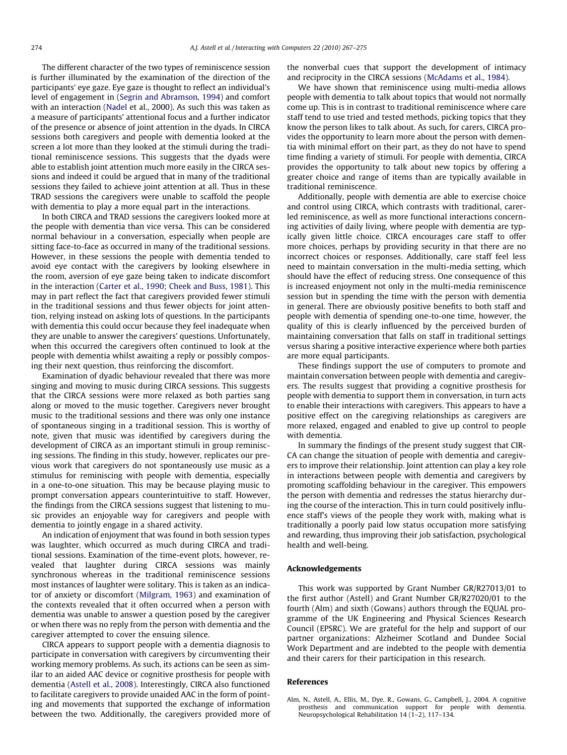<span id="page-7-0"></span>The different character of the two types of reminiscence session is further illuminated by the examination of the direction of the participants' eye gaze. Eye gaze is thought to reflect an individual's level of engagement in ([Segrin and Abramson, 1994](#page-8-0)) and comfort with an interaction ([Nadel](#page-8-0) et al., 2000). As such this was taken as a measure of participants' attentional focus and a further indicator of the presence or absence of joint attention in the dyads. In CIRCA sessions both caregivers and people with dementia looked at the screen a lot more than they looked at the stimuli during the traditional reminiscence sessions. This suggests that the dyads were able to establish joint attention much more easily in the CIRCA sessions and indeed it could be argued that in many of the traditional sessions they failed to achieve joint attention at all. Thus in these TRAD sessions the caregivers were unable to scaffold the people with dementia to play a more equal part in the interactions.

In both CIRCA and TRAD sessions the caregivers looked more at the people with dementia than vice versa. This can be considered normal behaviour in a conversation, especially when people are sitting face-to-face as occurred in many of the traditional sessions. However, in these sessions the people with dementia tended to avoid eye contact with the caregivers by looking elsewhere in the room, aversion of eye gaze being taken to indicate discomfort in the interaction [\(Carter et al., 1990; Cheek and Buss, 1981\)](#page-8-0). This may in part reflect the fact that caregivers provided fewer stimuli in the traditional sessions and thus fewer objects for joint attention, relying instead on asking lots of questions. In the participants with dementia this could occur because they feel inadequate when they are unable to answer the caregivers' questions. Unfortunately, when this occurred the caregivers often continued to look at the people with dementia whilst awaiting a reply or possibly composing their next question, thus reinforcing the discomfort.

Examination of dyadic behaviour revealed that there was more singing and moving to music during CIRCA sessions. This suggests that the CIRCA sessions were more relaxed as both parties sang along or moved to the music together. Caregivers never brought music to the traditional sessions and there was only one instance of spontaneous singing in a traditional session. This is worthy of note, given that music was identified by caregivers during the development of CIRCA as an important stimuli in group reminiscing sessions. The finding in this study, however, replicates our previous work that caregivers do not spontaneously use music as a stimulus for reminiscing with people with dementia, especially in a one-to-one situation. This may be because playing music to prompt conversation appears counterintuitive to staff. However, the findings from the CIRCA sessions suggest that listening to music provides an enjoyable way for caregivers and people with dementia to jointly engage in a shared activity.

An indication of enjoyment that was found in both session types was laughter, which occurred as much during CIRCA and traditional sessions. Examination of the time-event plots, however, revealed that laughter during CIRCA sessions was mainly synchronous whereas in the traditional reminiscence sessions most instances of laughter were solitary. This is taken as an indicator of anxiety or discomfort [\(Milgram, 1963\)](#page-8-0) and examination of the contexts revealed that it often occurred when a person with dementia was unable to answer a question posed by the caregiver or when there was no reply from the person with dementia and the caregiver attempted to cover the ensuing silence.

CIRCA appears to support people with a dementia diagnosis to participate in conversation with caregivers by circumventing their working memory problems. As such, its actions can be seen as similar to an aided AAC device or cognitive prosthesis for people with dementia [\(Astell et al., 2008](#page-8-0)). Interestingly, CIRCA also functioned to facilitate caregivers to provide unaided AAC in the form of pointing and movements that supported the exchange of information between the two. Additionally, the caregivers provided more of the nonverbal cues that support the development of intimacy and reciprocity in the CIRCA sessions ([McAdams et al., 1984\)](#page-8-0).

We have shown that reminiscence using multi-media allows people with dementia to talk about topics that would not normally come up. This is in contrast to traditional reminiscence where care staff tend to use tried and tested methods, picking topics that they know the person likes to talk about. As such, for carers, CIRCA provides the opportunity to learn more about the person with dementia with minimal effort on their part, as they do not have to spend time finding a variety of stimuli. For people with dementia, CIRCA provides the opportunity to talk about new topics by offering a greater choice and range of items than are typically available in traditional reminiscence.

Additionally, people with dementia are able to exercise choice and control using CIRCA, which contrasts with traditional, carerled reminiscence, as well as more functional interactions concerning activities of daily living, where people with dementia are typically given little choice. CIRCA encourages care staff to offer more choices, perhaps by providing security in that there are no incorrect choices or responses. Additionally, care staff feel less need to maintain conversation in the multi-media setting, which should have the effect of reducing stress. One consequence of this is increased enjoyment not only in the multi-media reminiscence session but in spending the time with the person with dementia in general. There are obviously positive benefits to both staff and people with dementia of spending one-to-one time, however, the quality of this is clearly influenced by the perceived burden of maintaining conversation that falls on staff in traditional settings versus sharing a positive interactive experience where both parties are more equal participants.

These findings support the use of computers to promote and maintain conversation between people with dementia and caregivers. The results suggest that providing a cognitive prosthesis for people with dementia to support them in conversation, in turn acts to enable their interactions with caregivers. This appears to have a positive effect on the caregiving relationships as caregivers are more relaxed, engaged and enabled to give up control to people with dementia.

In summary the findings of the present study suggest that CIR-CA can change the situation of people with dementia and caregivers to improve their relationship. Joint attention can play a key role in interactions between people with dementia and caregivers by promoting scaffolding behaviour in the caregiver. This empowers the person with dementia and redresses the status hierarchy during the course of the interaction. This in turn could positively influence staff's views of the people they work with, making what is traditionally a poorly paid low status occupation more satisfying and rewarding, thus improving their job satisfaction, psychological health and well-being.

#### Acknowledgements

This work was supported by Grant Number GR/R27013/01 to the first author (Astell) and Grant Number GR/R27020/01 to the fourth (Alm) and sixth (Gowans) authors through the EQUAL programme of the UK Engineering and Physical Sciences Research Council (EPSRC). We are grateful for the help and support of our partner organizations: Alzheimer Scotland and Dundee Social Work Department and are indebted to the people with dementia and their carers for their participation in this research.

#### References

Alm, N., Astell, A., Ellis, M., Dye, R., Gowans, G., Campbell, J., 2004. A cognitive prosthesis and communication support for people with dementia. Neuropsychological Rehabilitation 14 (1–2), 117–134.